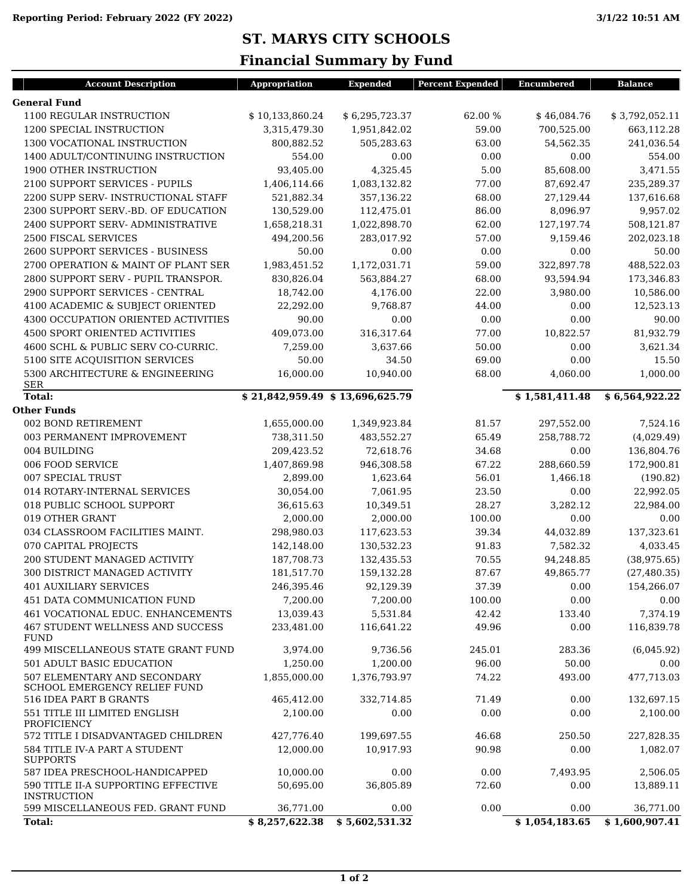## **ST. MARYS CITY SCHOOLS**

## **Financial Summary by Fund**

| <b>Account Description</b>                                          | Appropriation                   | <b>Expended</b> | <b>Percent Expended</b> | <b>Encumbered</b> | <b>Balance</b> |
|---------------------------------------------------------------------|---------------------------------|-----------------|-------------------------|-------------------|----------------|
| <b>General Fund</b>                                                 |                                 |                 |                         |                   |                |
| 1100 REGULAR INSTRUCTION                                            | \$10,133,860.24                 | \$6,295,723.37  | 62.00 %                 | \$46,084.76       | \$3,792,052.11 |
| 1200 SPECIAL INSTRUCTION                                            | 3,315,479.30                    | 1,951,842.02    | 59.00                   | 700,525.00        | 663,112.28     |
| 1300 VOCATIONAL INSTRUCTION                                         | 800,882.52                      | 505,283.63      | 63.00                   | 54,562.35         | 241,036.54     |
| 1400 ADULT/CONTINUING INSTRUCTION                                   | 554.00                          | 0.00            | 0.00                    | 0.00              | 554.00         |
| 1900 OTHER INSTRUCTION                                              | 93,405.00                       | 4,325.45        | 5.00                    | 85,608.00         | 3,471.55       |
| 2100 SUPPORT SERVICES - PUPILS                                      | 1,406,114.66                    | 1,083,132.82    | 77.00                   | 87,692.47         | 235,289.37     |
| 2200 SUPP SERV- INSTRUCTIONAL STAFF                                 | 521,882.34                      | 357,136.22      | 68.00                   | 27,129.44         | 137,616.68     |
| 2300 SUPPORT SERV.-BD. OF EDUCATION                                 | 130,529.00                      | 112,475.01      | 86.00                   | 8,096.97          | 9,957.02       |
| 2400 SUPPORT SERV- ADMINISTRATIVE                                   | 1,658,218.31                    | 1,022,898.70    | 62.00                   | 127,197.74        | 508,121.87     |
| 2500 FISCAL SERVICES                                                | 494,200.56                      | 283,017.92      | 57.00                   | 9,159.46          | 202,023.18     |
| 2600 SUPPORT SERVICES - BUSINESS                                    | 50.00                           | 0.00            | 0.00                    | 0.00              | 50.00          |
| 2700 OPERATION & MAINT OF PLANT SER                                 | 1,983,451.52                    | 1,172,031.71    | 59.00                   | 322,897.78        | 488,522.03     |
| 2800 SUPPORT SERV - PUPIL TRANSPOR.                                 | 830,826.04                      | 563,884.27      | 68.00                   | 93,594.94         | 173,346.83     |
| 2900 SUPPORT SERVICES - CENTRAL                                     | 18,742.00                       | 4,176.00        | 22.00                   | 3,980.00          | 10,586.00      |
| 4100 ACADEMIC & SUBJECT ORIENTED                                    | 22,292.00                       | 9,768.87        | 44.00                   | 0.00              | 12,523.13      |
| 4300 OCCUPATION ORIENTED ACTIVITIES                                 | 90.00                           | 0.00            | 0.00                    | 0.00              | 90.00          |
| <b>4500 SPORT ORIENTED ACTIVITIES</b>                               | 409,073.00                      | 316,317.64      | 77.00                   | 10,822.57         | 81,932.79      |
| 4600 SCHL & PUBLIC SERV CO-CURRIC.                                  | 7,259.00                        | 3,637.66        | 50.00                   | 0.00              | 3,621.34       |
| 5100 SITE ACQUISITION SERVICES                                      | 50.00                           | 34.50           | 69.00                   | 0.00              | 15.50          |
| 5300 ARCHITECTURE & ENGINEERING                                     | 16,000.00                       | 10,940.00       | 68.00                   | 4,060.00          | 1,000.00       |
| <b>SER</b><br><b>Total:</b>                                         | \$21,842,959.49 \$13,696,625.79 |                 |                         | \$1,581,411.48    | \$6,564,922.22 |
| <b>Other Funds</b>                                                  |                                 |                 |                         |                   |                |
| 002 BOND RETIREMENT                                                 | 1,655,000.00                    | 1,349,923.84    | 81.57                   | 297,552.00        | 7,524.16       |
| 003 PERMANENT IMPROVEMENT                                           | 738,311.50                      | 483,552.27      | 65.49                   | 258,788.72        | (4,029.49)     |
| 004 BUILDING                                                        | 209,423.52                      | 72,618.76       | 34.68                   | 0.00              | 136,804.76     |
| 006 FOOD SERVICE                                                    | 1,407,869.98                    | 946,308.58      | 67.22                   | 288,660.59        | 172,900.81     |
| 007 SPECIAL TRUST                                                   | 2,899.00                        | 1,623.64        | 56.01                   | 1,466.18          | (190.82)       |
| 014 ROTARY-INTERNAL SERVICES                                        | 30,054.00                       | 7,061.95        | 23.50                   | 0.00              | 22,992.05      |
| 018 PUBLIC SCHOOL SUPPORT                                           | 36,615.63                       | 10,349.51       | 28.27                   | 3,282.12          | 22,984.00      |
| 019 OTHER GRANT                                                     | 2,000.00                        | 2,000.00        | 100.00                  | 0.00              | 0.00           |
| 034 CLASSROOM FACILITIES MAINT.                                     | 298,980.03                      | 117,623.53      | 39.34                   | 44,032.89         | 137,323.61     |
| 070 CAPITAL PROJECTS                                                | 142,148.00                      | 130,532.23      | 91.83                   | 7,582.32          | 4,033.45       |
| 200 STUDENT MANAGED ACTIVITY                                        | 187,708.73                      | 132,435.53      | 70.55                   | 94,248.85         | (38, 975.65)   |
| 300 DISTRICT MANAGED ACTIVITY                                       | 181,517.70                      | 159,132.28      | 87.67                   | 49,865.77         | (27, 480.35)   |
| <b>401 AUXILIARY SERVICES</b>                                       | 246,395.46                      | 92,129.39       | 37.39                   | 0.00              | 154,266.07     |
| 451 DATA COMMUNICATION FUND                                         | 7,200.00                        | 7,200.00        | 100.00                  | 0.00              | 0.00           |
| 461 VOCATIONAL EDUC. ENHANCEMENTS                                   | 13,039.43                       | 5,531.84        | 42.42                   | 133.40            | 7,374.19       |
| <b>467 STUDENT WELLNESS AND SUCCESS</b><br><b>FUND</b>              | 233,481.00                      | 116,641.22      | 49.96                   | 0.00              | 116,839.78     |
| 499 MISCELLANEOUS STATE GRANT FUND                                  | 3,974.00                        | 9,736.56        | 245.01                  | 283.36            | (6,045.92)     |
| <b>501 ADULT BASIC EDUCATION</b>                                    | 1,250.00                        | 1,200.00        | 96.00                   | 50.00             | 0.00           |
| 507 ELEMENTARY AND SECONDARY<br><b>SCHOOL EMERGENCY RELIEF FUND</b> | 1,855,000.00                    | 1,376,793.97    | 74.22                   | 493.00            | 477,713.03     |
| 516 IDEA PART B GRANTS                                              | 465,412.00                      | 332,714.85      | 71.49                   | 0.00              | 132,697.15     |
| 551 TITLE III LIMITED ENGLISH                                       | 2.100.00                        | 0.00            | 0.00                    | 0.00              | 2.100.00       |
| PROFICIENCY<br>572 TITLE I DISADVANTAGED CHILDREN                   | 427,776.40                      | 199,697.55      | 46.68                   | 250.50            | 227,828.35     |
| 584 TITLE IV-A PART A STUDENT                                       | 12,000.00                       | 10,917.93       | 90.98                   | 0.00              | 1,082.07       |
| <b>SUPPORTS</b><br>587 IDEA PRESCHOOL-HANDICAPPED                   | 10,000.00                       | 0.00            | 0.00                    | 7,493.95          | 2,506.05       |
| 590 TITLE II-A SUPPORTING EFFECTIVE                                 | 50,695.00                       | 36,805.89       | 72.60                   | 0.00              | 13,889.11      |
| <b>INSTRUCTION</b><br>599 MISCELLANEOUS FED. GRANT FUND             | 36,771.00                       | 0.00            | 0.00                    | 0.00              | 36,771.00      |
| <b>Total:</b>                                                       | \$8,257,622.38                  | \$5,602,531.32  |                         | \$1,054,183.65    | \$1,600,907.41 |
|                                                                     |                                 |                 |                         |                   |                |